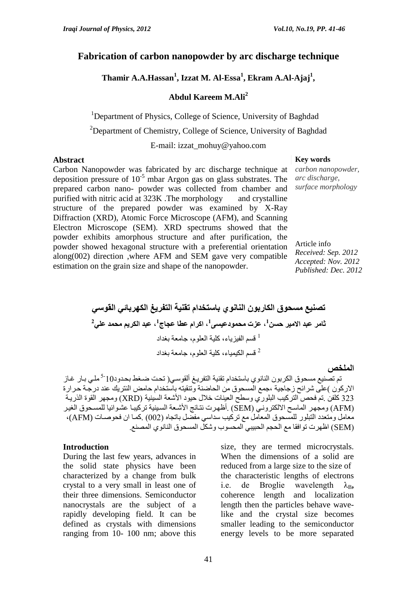## **Fabrication of carbon nanopowder by arc discharge technique**

**Thamir A.A.Hassan<sup>1</sup> , Izzat M. Al-Essa<sup>1</sup> , Ekram A.Al-Ajaj<sup>1</sup> ,** 

# **Abdul Kareem M.Ali<sup>2</sup>**

<sup>1</sup>Department of Physics, College of Science, University of Baghdad

<sup>2</sup>Department of Chemistry, College of Science, University of Baghdad

E-mail: izzat\_mohuy@yahoo.com

### **Abstract Key words**

Carbon Nanopowder was fabricated by arc discharge technique at deposition pressure of  $10^{-5}$  mbar Argon gas on glass substrates. The prepared carbon nano- powder was collected from chamber and purified with nitric acid at 323K .The morphology and crystalline structure of the prepared powder was examined by X-Ray Diffraction (XRD), Atomic Force Microscope (AFM), and Scanning Electron Microscope (SEM). XRD spectrums showed that the powder exhibits amorphous structure and after purification, the powder showed hexagonal structure with a preferential orientation along(002) direction ,where AFM and SEM gave very compatible estimation on the grain size and shape of the nanopowder.

*carbon nanopowder, arc discharge, surface morphology*

Article info *Received: Sep. 2012 Accepted: Nov. 2012 Published: Dec. 2012*

**تصنيع مسحوق الكاربون النانوي باستخدام تقنية التفريغ الكهربائي القوسي** ثامر عبد الامير حسن<sup>1</sup>، عزت محمودعيسى<sup>1</sup>، اكرام عطا عجاج<sup>1</sup>، عبد الكريم محمد علي<sup>2</sup> 1 قسم الفيزياء, كلية العلوم, جامعة بغداد قسم الكيمياء، كلية العلوم، جامعة بغداد  $^2$ 

#### **الملخص**

تم تصنيع مسحوق الكربون النانوي باستخدام تقنية التفريـغ ألقوسـي( تحت ضـغط بحدود10<sup>-5</sup> ملـي بـار غـاز الاركون )على شرائح زجاجية ،جمع المسحوق من الحاضنة وتنقيته باستخدام حامض النتريك عند درجة حرارة 323 كلفن .تم فحص التركيب البلوري وسطح العينات خلال حيود الأشعة السينية (XRD) ومجهر القوة الذريبة (AFM) ومجهز الماسح الالكتروني (SEM) .أظهرت نتائج الأشعة السينية تركيبا عشوائيا للمسحوق الغير معامل ومتعدد التبلور للمسحوق المعامل مع تركيب سداسي مفضل باتجاه (002) .كمـا ان فحوصـات (AFM)، تSEM )اظهرت توافقا مع الحجم الحبيب المحسوب شكل المسحوق النانوي المصنع.

### **Introduction**

During the last few years, advances in the solid state physics have been characterized by a change from bulk crystal to a very small in least one of their three dimensions. Semiconductor nanocrystals are the subject of a rapidly developing field. It can be defined as crystals with dimensions ranging from 10- 100 nm; above this

size, they are termed microcrystals. When the dimensions of a solid are reduced from a large size to the size of the characteristic lengths of electrons i.e. de Broglie wavelength  $\lambda_B$ , coherence length and localization length then the particles behave wavelike and the crystal size becomes smaller leading to the semiconductor energy levels to be more separated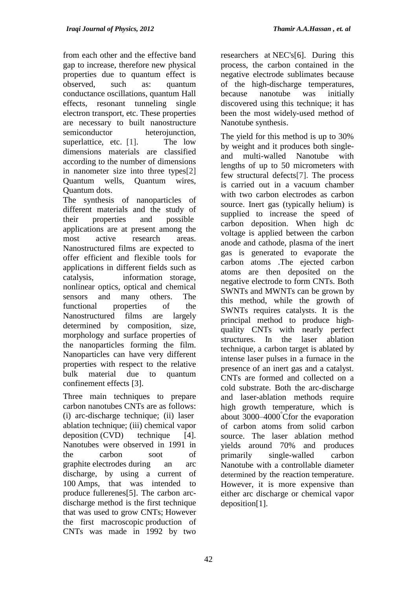from each other and the effective band gap to increase, therefore new physical properties due to quantum effect is observed, such as: quantum conductance oscillations, quantum Hall effects, resonant tunneling single electron transport, etc. These properties are necessary to built nanostructure semiconductor heterojunction, superlattice, etc. [1]. The low dimensions materials are classified according to the number of dimensions in nanometer size into three types[2] Quantum wells, Quantum wires, Quantum dots.

The synthesis of nanoparticles of different materials and the study of their properties and possible applications are at present among the most active research areas. Nanostructured films are expected to offer efficient and flexible tools for applications in different fields such as catalysis, information storage, nonlinear optics, optical and chemical sensors and many others. The functional properties of the Nanostructured films are largely determined by composition, size, morphology and surface properties of the nanoparticles forming the film. Nanoparticles can have very different properties with respect to the relative bulk material due to quantum confinement effects [3].

Three main techniques to prepare carbon nanotubes CNTs are as follows: (i) arc-discharge technique; (ii) laser ablation technique; (iii) chemical vapor  $deposition (CVD)$  technique [4]. Nanotubes were observed in 1991 in the carbon soot of graphite [electrodes](http://en.wikipedia.org/wiki/Electrode) during an arc discharge, by using a current of 100 [Amps,](http://en.wikipedia.org/wiki/Ampere) that was intended to produce fullerene[s\[5\].](http://en.wikipedia.org/wiki/Carbon_nanotube#cite_note-61) The carbon arcdischarge method is the first technique that was used to grow CNTs; However the first [macroscopic](http://en.wikipedia.org/wiki/Macroscopic) production of CNTs was made in 1992 by two

researchers at [NEC'](http://en.wikipedia.org/wiki/NEC)[s\[6\].](http://en.wikipedia.org/wiki/Carbon_nanotube#cite_note-62) During this process, the carbon contained in the negative electrode sublimates because of the high-discharge temperatures, because nanotube was initially discovered using this technique; it has been the most widely-used method of Nanotube synthesis.

The yield for this method is up to 30% by weight and it produces both singleand multi-walled Nanotube with lengths of up to 50 micrometers with few structural defect[s\[7\].](http://en.wikipedia.org/wiki/Carbon_nanotube#cite_note-nanotubes_for_electronics-30) The process is carried out in a vacuum chamber with two carbon electrodes as carbon source. Inert gas (typically helium) is supplied to increase the speed of carbon deposition. When high dc voltage is applied between the carbon anode and cathode, plasma of the inert gas is generated to evaporate the carbon atoms .The ejected carbon atoms are then deposited on the negative electrode to form CNTs. Both SWNTs and MWNTs can be grown by this method, while the growth of SWNTs requires catalysts. It is the principal method to produce highquality CNTs with nearly perfect structures. In the laser ablation technique, a carbon target is ablated by intense laser pulses in a furnace in the presence of an inert gas and a catalyst. CNTs are formed and collected on a cold substrate. Both the arc-discharge and laser-ablation methods require high growth temperature, which is about 3000–4000°Cfor the evaporation of carbon atoms from solid carbon source. The laser ablation method yields around 70% and produces primarily single-walled carbon Nanotube with a controllable diameter determined by the reaction [temperature.](http://en.wikipedia.org/wiki/Temperature) However, it is more expensive than either arc discharge or chemical vapor depositio[n\[1\].](http://en.wikipedia.org/wiki/Carbon_nanotube#cite_note-nanotubes_for_electronics-30)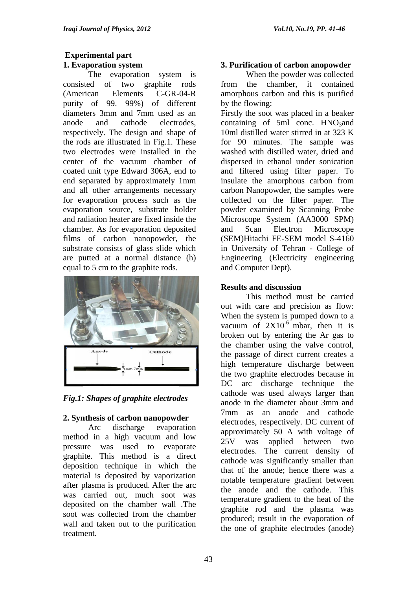# **Experimental part 1. Evaporation system**

The evaporation system is consisted of two graphite rods (American Elements C-GR-04-R purity of 99. 99%) of different diameters 3mm and 7mm used as an anode and cathode electrodes, respectively. The design and shape of the rods are illustrated in Fig.1. These two electrodes were installed in the center of the vacuum chamber of coated unit type Edward 306A, end to end separated by approximately 1mm and all other arrangements necessary for evaporation process such as the evaporation source, substrate holder and radiation heater are fixed inside the chamber. As for evaporation deposited films of carbon nanopowder, the substrate consists of glass slide which are putted at a normal distance (h) equal to 5 cm to the graphite rods.



*Fig.1: Shapes of graphite electrodes*

## **2. Synthesis of carbon nanopowder**

Arc discharge evaporation method in a high vacuum and low pressure was used to evaporate graphite. This method is a direct deposition technique in which the material is deposited by vaporization after plasma is produced. After the arc was carried out, much soot was deposited on the chamber wall .The soot was collected from the chamber wall and taken out to the purification treatment.

# **3. Purification of carbon anopowder**

When the powder was collected from the chamber, it contained amorphous carbon and this is purified by the flowing:

Firstly the soot was placed in a beaker containing of 5ml conc.  $HNO<sub>3</sub>$ and 10ml distilled water stirred in at 323 K for 90 minutes. The sample was washed with distilled water, dried and dispersed in ethanol under sonication and filtered using filter paper. To insulate the amorphous carbon from carbon Nanopowder, the samples were collected on the filter paper. The powder examined by Scanning Probe Microscope System (AA3000 SPM) and Scan Electron Microscope (SEM)Hitachi FE-SEM model S-4160 in University of Tehran - College of Engineering (Electricity engineering and Computer Dept).

# **Results and discussion**

This method must be carried out with care and precision as flow: When the system is pumped down to a vacuum of  $2X10^{-6}$  mbar, then it is broken out by entering the Ar gas to the chamber using the valve control, the passage of direct current creates a high temperature discharge between the two graphite electrodes because in DC arc discharge technique the cathode was used always larger than anode in the diameter about 3mm and 7mm as an anode and cathode electrodes, respectively. DC current of approximately 50 A with voltage of 25V was applied between two electrodes. The current density of cathode was significantly smaller than that of the anode; hence there was a notable temperature gradient between the anode and the cathode. This temperature gradient to the heat of the graphite rod and the plasma was produced; result in the evaporation of the one of graphite electrodes (anode)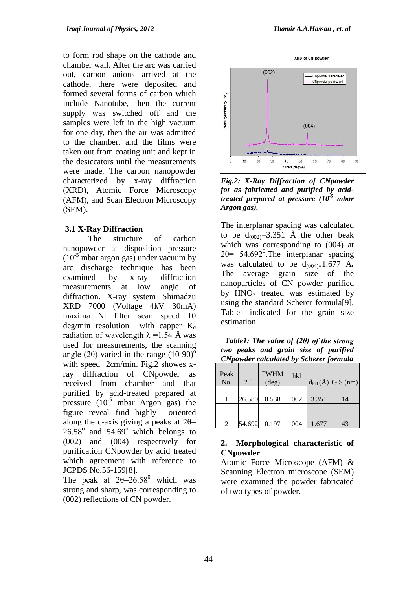to form rod shape on the cathode and chamber wall. After the arc was carried out, carbon anions arrived at the cathode, there were deposited and formed several forms of carbon which include Nanotube, then the current supply was switched off and the samples were left in the high vacuum for one day, then the air was admitted to the chamber, and the films were taken out from coating unit and kept in the desiccators until the measurements were made. The carbon nanopowder characterized by x-ray diffraction (XRD), Atomic Force Microscopy (AFM), and Scan Electron Microscopy (SEM).

## **3.1 X-Ray Diffraction**

The structure of carbon nanopowder at disposition pressure  $(10^{-5}$  mbar argon gas) under vacuum by arc discharge technique has been examined by x-ray diffraction measurements at low angle of diffraction. X-ray system Shimadzu XRD 7000 (Voltage 4kV 30mA) maxima Ni filter scan speed 10 deg/min resolution with capper  $K_{\alpha}$ radiation of wavelength  $\lambda = 1.54$  Å was used for measurements, the scanning angle (2 $\theta$ ) varied in the range (10-90)<sup>o</sup> with speed 2cm/min. Fig.2 showes xray diffraction of CNpowder as received from chamber and that purified by acid-treated prepared at pressure  $(10^{-5}$  mbar Argon gas) the figure reveal find highly oriented along the c-axis giving a peaks at  $2\theta$ =  $26.58^{\circ}$  and  $54.69^{\circ}$  which belongs to (002) and (004) respectively for purification CNpowder by acid treated which agreement with reference to JCPDS No.56-159[8].

The peak at  $2\theta = 26.58^{\circ}$  which was strong and sharp, was corresponding to (002) reflections of CN powder.





*Fig.2: X-Ray Diffraction of CNpowder for as fabricated and purified by acidtreated prepared at pressure (10-5 mbar Argon gas).*

The interplanar spacing was calculated to be  $d_{(002)} = 3.351$  Å the other beak which was corresponding to (004) at  $2\theta$  = 54.692<sup>0</sup>. The interplanar spacing was calculated to be  $d_{(004)=}1.677$  Å. The average grain size of the nanoparticles of CN powder purified by  $HNO<sub>3</sub>$  treated was estimated by using the standard Scherer formula[9], Table1 indicated for the grain size estimation

 *Table1: The value of (2θ) of the strong two peaks and grain size of purified CNpowder calculated by Scherer formula*

| Peak<br>No. | $2\theta$ | <b>FWHM</b><br>$(\text{deg})$ | hkl |       | $d_{hkl}(\AA)$ G.S (nm) |
|-------------|-----------|-------------------------------|-----|-------|-------------------------|
|             | 26.580    | 0.538                         | 002 | 3.351 | 14                      |
| 2           | 54.692    | 0.197                         | 004 | 1.677 | 43                      |

## **2. Morphological characteristic of CNpowder**

Atomic Force Microscope (AFM) & Scanning Electron microscope (SEM) were examined the powder fabricated of two types of powder.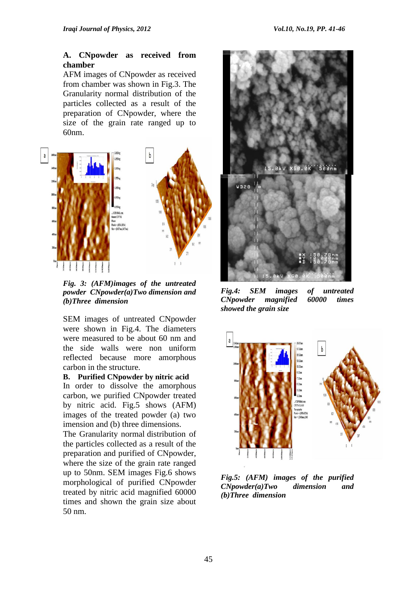### **A. CNpowder as received from chamber**

AFM images of CNpowder as received from chamber was shown in Fig.3. The Granularity normal distribution of the particles collected as a result of the preparation of CNpowder, where the size of the grain rate ranged up to 60nm.



*Fig. 3: (AFM)images of the untreated powder CNpowder(a)Two dimension and (b)Three dimension*

SEM images of untreated CNpowder were shown in Fig.4. The diameters were measured to be about 60 nm and the side walls were non uniform reflected because more amorphous carbon in the structure.

**B. Purified CNpowder by nitric acid**

In order to dissolve the amorphous carbon, we purified CNpowder treated by nitric acid. Fig.5 shows (AFM) images of the treated powder (a) two imension and (b) three dimensions.

The Granularity normal distribution of the particles collected as a result of the preparation and purified of CNpowder, where the size of the grain rate ranged up to 50nm. SEM images Fig.6 shows morphological of purified CNpowder treated by nitric acid magnified 60000 times and shown the grain size about 50 nm.



*Fig.4: SEM images of untreated CNpowder magnified 60000 times showed the grain size*



*Fig.5: (AFM) images of the purified CNpowder(a)Two dimension and (b)Three dimension*